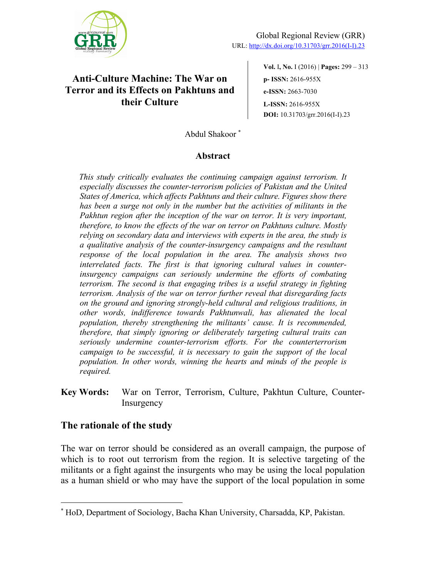

# **Anti-Culture Machine: The War on Terror and its Effects on Pakhtuns and their Culture**

**Vol.** I**, No.** I (2016) | **Pages:** 299 ‒ 313 **p- ISSN:** 2616-955X **e-ISSN:** 2663-7030 **L-ISSN:** 2616-955X **DOI:** 10.31703/grr.2016(I-I).23

Abdul Shakoor \*

## **Abstract**

*This study critically evaluates the continuing campaign against terrorism. It especially discusses the counter-terrorism policies of Pakistan and the United States of America, which affects Pakhtuns and their culture. Figures show there has been a surge not only in the number but the activities of militants in the*  Pakhtun region after the inception of the war on terror. It is very important, *therefore, to know the effects of the war on terror on Pakhtuns culture. Mostly relying on secondary data and interviews with experts in the area, the study is a qualitative analysis of the counter-insurgency campaigns and the resultant response of the local population in the area. The analysis shows two interrelated facts. The first is that ignoring cultural values in counterinsurgency campaigns can seriously undermine the efforts of combating terrorism. The second is that engaging tribes is a useful strategy in fighting terrorism. Analysis of the war on terror further reveal that disregarding facts on the ground and ignoring strongly-held cultural and religious traditions, in other words, indifference towards Pakhtunwali, has alienated the local population, thereby strengthening the militants' cause. It is recommended, therefore, that simply ignoring or deliberately targeting cultural traits can seriously undermine counter-terrorism efforts. For the counterterrorism campaign to be successful, it is necessary to gain the support of the local population. In other words, winning the hearts and minds of the people is required.*

**Key Words:** War on Terror, Terrorism, Culture, Pakhtun Culture, Counter-Insurgency

## **The rationale of the study**

The war on terror should be considered as an overall campaign, the purpose of which is to root out terrorism from the region. It is selective targeting of the militants or a fight against the insurgents who may be using the local population as a human shield or who may have the support of the local population in some

<sup>\*</sup> HoD, Department of Sociology, Bacha Khan University, Charsadda, KP, Pakistan.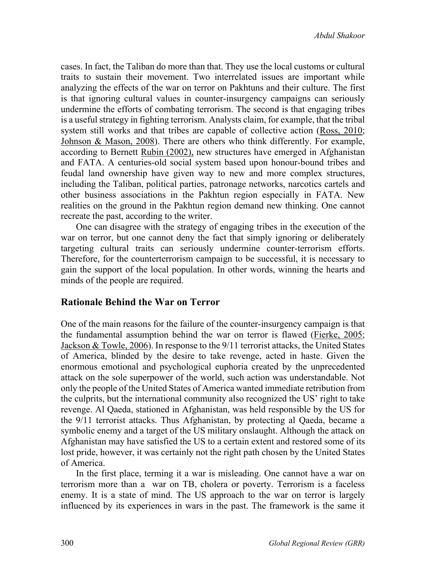cases. In fact, the Taliban do more than that. They use the local customs or cultural traits to sustain their movement. Two interrelated issues are important while analyzing the effects of the war on terror on Pakhtuns and their culture. The first is that ignoring cultural values in counter-insurgency campaigns can seriously undermine the efforts of combating terrorism. The second is that engaging tribes is a useful strategy in fighting terrorism. Analysts claim, for example, that the tribal system still works and that tribes are capable of collective action (Ross, 2010; Johnson & Mason, 2008). There are others who think differently. For example, according to Bernett Rubin (2002), new structures have emerged in Afghanistan and FATA. A centuries-old social system based upon honour-bound tribes and feudal land ownership have given way to new and more complex structures, including the Taliban, political parties, patronage networks, narcotics cartels and other business associations in the Pakhtun region especially in FATA. New realities on the ground in the Pakhtun region demand new thinking. One cannot recreate the past, according to the writer.

One can disagree with the strategy of engaging tribes in the execution of the war on terror, but one cannot deny the fact that simply ignoring or deliberately targeting cultural traits can seriously undermine counter-terrorism efforts. Therefore, for the counterterrorism campaign to be successful, it is necessary to gain the support of the local population. In other words, winning the hearts and minds of the people are required.

## **Rationale Behind the War on Terror**

One of the main reasons for the failure of the counter-insurgency campaign is that the fundamental assumption behind the war on terror is flawed (Fierke, 2005; Jackson & Towle, 2006). In response to the 9/11 terrorist attacks, the United States of America, blinded by the desire to take revenge, acted in haste. Given the enormous emotional and psychological euphoria created by the unprecedented attack on the sole superpower of the world, such action was understandable. Not only the people of the United States of America wanted immediate retribution from the culprits, but the international community also recognized the US' right to take revenge. Al Qaeda, stationed in Afghanistan, was held responsible by the US for the 9/11 terrorist attacks. Thus Afghanistan, by protecting al Qaeda, became a symbolic enemy and a target of the US military onslaught. Although the attack on Afghanistan may have satisfied the US to a certain extent and restored some of its lost pride, however, it was certainly not the right path chosen by the United States of America.

In the first place, terming it a war is misleading. One cannot have a war on terrorism more than a war on TB, cholera or poverty. Terrorism is a faceless enemy. It is a state of mind. The US approach to the war on terror is largely influenced by its experiences in wars in the past. The framework is the same it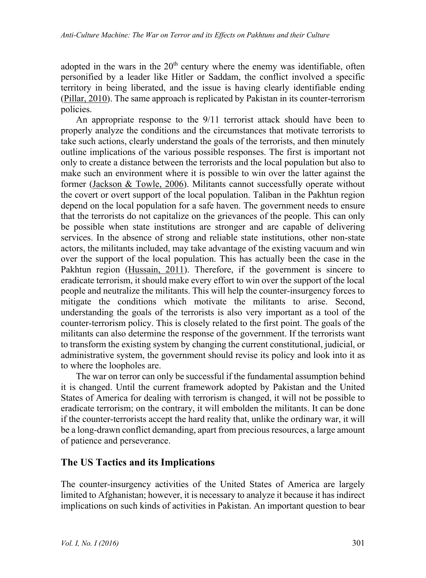adopted in the wars in the  $20<sup>th</sup>$  century where the enemy was identifiable, often personified by a leader like Hitler or Saddam, the conflict involved a specific territory in being liberated, and the issue is having clearly identifiable ending (Pillar, 2010). The same approach is replicated by Pakistan in its counter-terrorism policies.

An appropriate response to the 9/11 terrorist attack should have been to properly analyze the conditions and the circumstances that motivate terrorists to take such actions, clearly understand the goals of the terrorists, and then minutely outline implications of the various possible responses. The first is important not only to create a distance between the terrorists and the local population but also to make such an environment where it is possible to win over the latter against the former (Jackson & Towle, 2006). Militants cannot successfully operate without the covert or overt support of the local population. Taliban in the Pakhtun region depend on the local population for a safe haven. The government needs to ensure that the terrorists do not capitalize on the grievances of the people. This can only be possible when state institutions are stronger and are capable of delivering services. In the absence of strong and reliable state institutions, other non-state actors, the militants included, may take advantage of the existing vacuum and win over the support of the local population. This has actually been the case in the Pakhtun region (Hussain, 2011). Therefore, if the government is sincere to eradicate terrorism, it should make every effort to win over the support of the local people and neutralize the militants. This will help the counter-insurgency forces to mitigate the conditions which motivate the militants to arise. Second, understanding the goals of the terrorists is also very important as a tool of the counter-terrorism policy. This is closely related to the first point. The goals of the militants can also determine the response of the government. If the terrorists want to transform the existing system by changing the current constitutional, judicial, or administrative system, the government should revise its policy and look into it as to where the loopholes are.

The war on terror can only be successful if the fundamental assumption behind it is changed. Until the current framework adopted by Pakistan and the United States of America for dealing with terrorism is changed, it will not be possible to eradicate terrorism; on the contrary, it will embolden the militants. It can be done if the counter-terrorists accept the hard reality that, unlike the ordinary war, it will be a long-drawn conflict demanding, apart from precious resources, a large amount of patience and perseverance.

## **The US Tactics and its Implications**

The counter-insurgency activities of the United States of America are largely limited to Afghanistan; however, it is necessary to analyze it because it has indirect implications on such kinds of activities in Pakistan. An important question to bear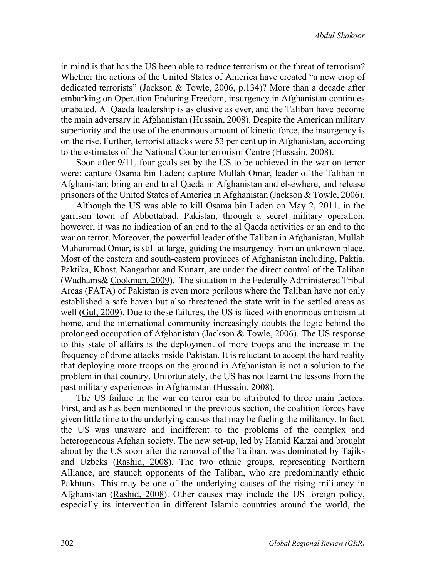in mind is that has the US been able to reduce terrorism or the threat of terrorism? Whether the actions of the United States of America have created "a new crop of dedicated terrorists" (Jackson & Towle, 2006, p.134)? More than a decade after embarking on Operation Enduring Freedom, insurgency in Afghanistan continues unabated. Al Qaeda leadership is as elusive as ever, and the Taliban have become the main adversary in Afghanistan (Hussain, 2008). Despite the American military superiority and the use of the enormous amount of kinetic force, the insurgency is on the rise. Further, terrorist attacks were 53 per cent up in Afghanistan, according to the estimates of the National Counterterrorism Centre (Hussain, 2008).

Soon after 9/11, four goals set by the US to be achieved in the war on terror were: capture Osama bin Laden; capture Mullah Omar, leader of the Taliban in Afghanistan; bring an end to al Qaeda in Afghanistan and elsewhere; and release prisoners of the United States of America in Afghanistan (Jackson & Towle, 2006).

Although the US was able to kill Osama bin Laden on May 2, 2011, in the garrison town of Abbottabad, Pakistan, through a secret military operation, however, it was no indication of an end to the al Qaeda activities or an end to the war on terror. Moreover, the powerful leader of the Taliban in Afghanistan, Mullah Muhammad Omar, is still at large, guiding the insurgency from an unknown place. Most of the eastern and south-eastern provinces of Afghanistan including, Paktia, Paktika, Khost, Nangarhar and Kunarr, are under the direct control of the Taliban (Wadhams& Cookman, 2009). The situation in the Federally Administered Tribal Areas (FATA) of Pakistan is even more perilous where the Taliban have not only established a safe haven but also threatened the state writ in the settled areas as well (Gul, 2009). Due to these failures, the US is faced with enormous criticism at home, and the international community increasingly doubts the logic behind the prolonged occupation of Afghanistan (Jackson & Towle, 2006). The US response to this state of affairs is the deployment of more troops and the increase in the frequency of drone attacks inside Pakistan. It is reluctant to accept the hard reality that deploying more troops on the ground in Afghanistan is not a solution to the problem in that country. Unfortunately, the US has not learnt the lessons from the past military experiences in Afghanistan (Hussain, 2008).

The US failure in the war on terror can be attributed to three main factors. First, and as has been mentioned in the previous section, the coalition forces have given little time to the underlying causes that may be fueling the militancy. In fact, the US was unaware and indifferent to the problems of the complex and heterogeneous Afghan society. The new set-up, led by Hamid Karzai and brought about by the US soon after the removal of the Taliban, was dominated by Tajiks and Uzbeks (Rashid, 2008). The two ethnic groups, representing Northern Alliance, are staunch opponents of the Taliban, who are predominantly ethnic Pakhtuns. This may be one of the underlying causes of the rising militancy in Afghanistan (Rashid, 2008). Other causes may include the US foreign policy, especially its intervention in different Islamic countries around the world, the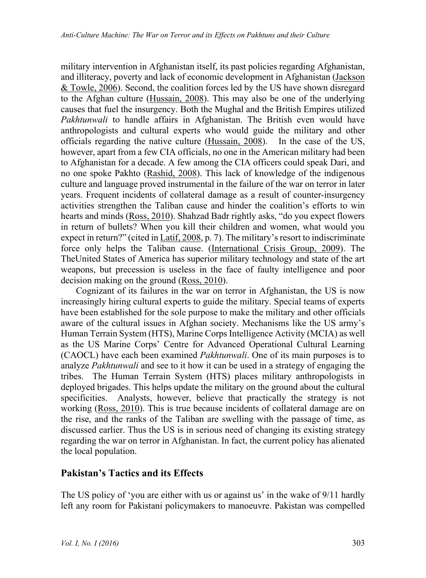military intervention in Afghanistan itself, its past policies regarding Afghanistan, and illiteracy, poverty and lack of economic development in Afghanistan (Jackson & Towle, 2006). Second, the coalition forces led by the US have shown disregard to the Afghan culture (Hussain, 2008). This may also be one of the underlying causes that fuel the insurgency. Both the Mughal and the British Empires utilized *Pakhtunwali* to handle affairs in Afghanistan. The British even would have anthropologists and cultural experts who would guide the military and other officials regarding the native culture (Hussain, 2008). In the case of the US, however, apart from a few CIA officials, no one in the American military had been to Afghanistan for a decade. A few among the CIA officers could speak Dari, and no one spoke Pakhto (Rashid, 2008). This lack of knowledge of the indigenous culture and language proved instrumental in the failure of the war on terror in later years. Frequent incidents of collateral damage as a result of counter-insurgency activities strengthen the Taliban cause and hinder the coalition's efforts to win hearts and minds (Ross, 2010). Shahzad Badr rightly asks, "do you expect flowers in return of bullets? When you kill their children and women, what would you expect in return?" (cited in Latif, 2008, p. 7). The military's resort to indiscriminate force only helps the Taliban cause. (International Crisis Group, 2009). The TheUnited States of America has superior military technology and state of the art weapons, but precession is useless in the face of faulty intelligence and poor decision making on the ground (Ross, 2010).

Cognizant of its failures in the war on terror in Afghanistan, the US is now increasingly hiring cultural experts to guide the military. Special teams of experts have been established for the sole purpose to make the military and other officials aware of the cultural issues in Afghan society. Mechanisms like the US army's Human Terrain System (HTS), Marine Corps Intelligence Activity (MCIA) as well as the US Marine Corps' Centre for Advanced Operational Cultural Learning (CAOCL) have each been examined *Pakhtunwali*. One of its main purposes is to analyze *Pakhtunwali* and see to it how it can be used in a strategy of engaging the tribes. The Human Terrain System (HTS) places military anthropologists in deployed brigades. This helps update the military on the ground about the cultural specificities. Analysts, however, believe that practically the strategy is not working (Ross, 2010). This is true because incidents of collateral damage are on the rise, and the ranks of the Taliban are swelling with the passage of time, as discussed earlier. Thus the US is in serious need of changing its existing strategy regarding the war on terror in Afghanistan. In fact, the current policy has alienated the local population.

## **Pakistan's Tactics and its Effects**

The US policy of 'you are either with us or against us' in the wake of 9/11 hardly left any room for Pakistani policymakers to manoeuvre. Pakistan was compelled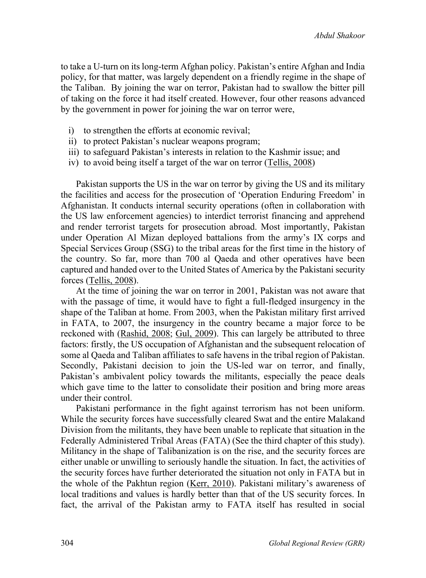to take a U-turn on its long-term Afghan policy. Pakistan's entire Afghan and India policy, for that matter, was largely dependent on a friendly regime in the shape of the Taliban. By joining the war on terror, Pakistan had to swallow the bitter pill of taking on the force it had itself created. However, four other reasons advanced by the government in power for joining the war on terror were,

- i) to strengthen the efforts at economic revival;
- ii) to protect Pakistan's nuclear weapons program;
- iii) to safeguard Pakistan's interests in relation to the Kashmir issue; and
- iv) to avoid being itself a target of the war on terror (Tellis, 2008)

Pakistan supports the US in the war on terror by giving the US and its military the facilities and access for the prosecution of 'Operation Enduring Freedom' in Afghanistan. It conducts internal security operations (often in collaboration with the US law enforcement agencies) to interdict terrorist financing and apprehend and render terrorist targets for prosecution abroad. Most importantly, Pakistan under Operation Al Mizan deployed battalions from the army's IX corps and Special Services Group (SSG) to the tribal areas for the first time in the history of the country. So far, more than 700 al Qaeda and other operatives have been captured and handed over to the United States of America by the Pakistani security forces (Tellis, 2008).

At the time of joining the war on terror in 2001, Pakistan was not aware that with the passage of time, it would have to fight a full-fledged insurgency in the shape of the Taliban at home. From 2003, when the Pakistan military first arrived in FATA, to 2007, the insurgency in the country became a major force to be reckoned with (Rashid, 2008; Gul, 2009). This can largely be attributed to three factors: firstly, the US occupation of Afghanistan and the subsequent relocation of some al Qaeda and Taliban affiliates to safe havens in the tribal region of Pakistan. Secondly, Pakistani decision to join the US-led war on terror, and finally, Pakistan's ambivalent policy towards the militants, especially the peace deals which gave time to the latter to consolidate their position and bring more areas under their control.

Pakistani performance in the fight against terrorism has not been uniform. While the security forces have successfully cleared Swat and the entire Malakand Division from the militants, they have been unable to replicate that situation in the Federally Administered Tribal Areas (FATA) (See the third chapter of this study). Militancy in the shape of Talibanization is on the rise, and the security forces are either unable or unwilling to seriously handle the situation. In fact, the activities of the security forces have further deteriorated the situation not only in FATA but in the whole of the Pakhtun region (Kerr, 2010). Pakistani military's awareness of local traditions and values is hardly better than that of the US security forces. In fact, the arrival of the Pakistan army to FATA itself has resulted in social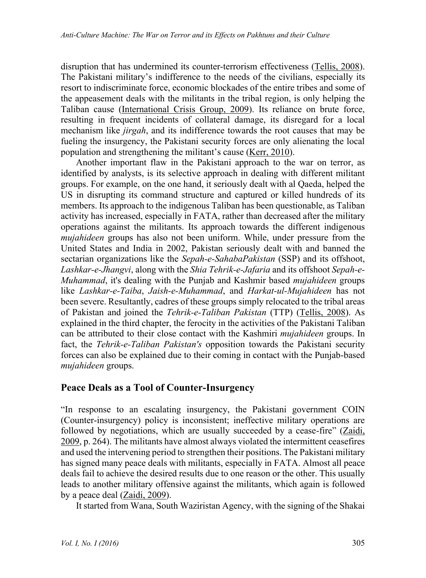disruption that has undermined its counter-terrorism effectiveness (Tellis, 2008). The Pakistani military's indifference to the needs of the civilians, especially its resort to indiscriminate force, economic blockades of the entire tribes and some of the appeasement deals with the militants in the tribal region, is only helping the Taliban cause (International Crisis Group, 2009). Its reliance on brute force, resulting in frequent incidents of collateral damage, its disregard for a local mechanism like *jirgah*, and its indifference towards the root causes that may be fueling the insurgency, the Pakistani security forces are only alienating the local population and strengthening the militant's cause (Kerr, 2010).

Another important flaw in the Pakistani approach to the war on terror, as identified by analysts, is its selective approach in dealing with different militant groups. For example, on the one hand, it seriously dealt with al Qaeda, helped the US in disrupting its command structure and captured or killed hundreds of its members. Its approach to the indigenous Taliban has been questionable, as Taliban activity has increased, especially in FATA, rather than decreased after the military operations against the militants. Its approach towards the different indigenous *mujahideen* groups has also not been uniform. While, under pressure from the United States and India in 2002, Pakistan seriously dealt with and banned the sectarian organizations like the *Sepah-e-SahabaPakistan* (SSP) and its offshoot, *Lashkar-e-Jhangvi*, along with the *Shia Tehrik-e-Jafaria* and its offshoot *Sepah-e-Muhammad*, it's dealing with the Punjab and Kashmir based *mujahideen* groups like *Lashkar-e-Taiba*, *Jaish-e-Muhammad*, and *Harkat-ul-Mujahideen* has not been severe. Resultantly, cadres of these groups simply relocated to the tribal areas of Pakistan and joined the *Tehrik-e-Taliban Pakistan* (TTP) (Tellis, 2008). As explained in the third chapter, the ferocity in the activities of the Pakistani Taliban can be attributed to their close contact with the Kashmiri *mujahideen* groups. In fact, the *Tehrik-e-Taliban Pakistan's* opposition towards the Pakistani security forces can also be explained due to their coming in contact with the Punjab-based *mujahideen* groups.

## **Peace Deals as a Tool of Counter-Insurgency**

"In response to an escalating insurgency, the Pakistani government COIN (Counter-insurgency) policy is inconsistent; ineffective military operations are followed by negotiations, which are usually succeeded by a cease-fire" (Zaidi, 2009, p. 264). The militants have almost always violated the intermittent ceasefires and used the intervening period to strengthen their positions. The Pakistani military has signed many peace deals with militants, especially in FATA. Almost all peace deals fail to achieve the desired results due to one reason or the other. This usually leads to another military offensive against the militants, which again is followed by a peace deal (Zaidi, 2009).

It started from Wana, South Waziristan Agency, with the signing of the Shakai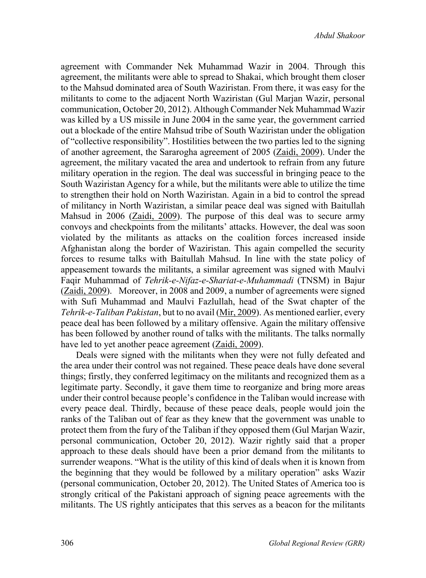*Abdul Shakoor*

agreement with Commander Nek Muhammad Wazir in 2004. Through this agreement, the militants were able to spread to Shakai, which brought them closer to the Mahsud dominated area of South Waziristan. From there, it was easy for the militants to come to the adjacent North Waziristan (Gul Marjan Wazir, personal communication, October 20, 2012). Although Commander Nek Muhammad Wazir was killed by a US missile in June 2004 in the same year, the government carried out a blockade of the entire Mahsud tribe of South Waziristan under the obligation of "collective responsibility". Hostilities between the two parties led to the signing of another agreement, the Sararogha agreement of 2005 (Zaidi, 2009). Under the agreement, the military vacated the area and undertook to refrain from any future military operation in the region. The deal was successful in bringing peace to the South Waziristan Agency for a while, but the militants were able to utilize the time to strengthen their hold on North Waziristan. Again in a bid to control the spread of militancy in North Waziristan, a similar peace deal was signed with Baitullah Mahsud in 2006 (Zaidi, 2009). The purpose of this deal was to secure army convoys and checkpoints from the militants' attacks. However, the deal was soon violated by the militants as attacks on the coalition forces increased inside Afghanistan along the border of Waziristan. This again compelled the security forces to resume talks with Baitullah Mahsud. In line with the state policy of appeasement towards the militants, a similar agreement was signed with Maulvi Faqir Muhammad of *Tehrik-e-Nifaz-e-Shariat-e-Muhammadi* (TNSM) in Bajur (Zaidi, 2009). Moreover, in 2008 and 2009, a number of agreements were signed with Sufi Muhammad and Maulvi Fazlullah, head of the Swat chapter of the *Tehrik-e-Taliban Pakistan*, but to no avail (Mir, 2009). As mentioned earlier, every peace deal has been followed by a military offensive. Again the military offensive has been followed by another round of talks with the militants. The talks normally have led to yet another peace agreement  $(Zaidi, 2009)$ .

Deals were signed with the militants when they were not fully defeated and the area under their control was not regained. These peace deals have done several things; firstly, they conferred legitimacy on the militants and recognized them as a legitimate party. Secondly, it gave them time to reorganize and bring more areas under their control because people's confidence in the Taliban would increase with every peace deal. Thirdly, because of these peace deals, people would join the ranks of the Taliban out of fear as they knew that the government was unable to protect them from the fury of the Taliban if they opposed them (Gul Marjan Wazir, personal communication, October 20, 2012). Wazir rightly said that a proper approach to these deals should have been a prior demand from the militants to surrender weapons. "What is the utility of this kind of deals when it is known from the beginning that they would be followed by a military operation" asks Wazir (personal communication, October 20, 2012). The United States of America too is strongly critical of the Pakistani approach of signing peace agreements with the militants. The US rightly anticipates that this serves as a beacon for the militants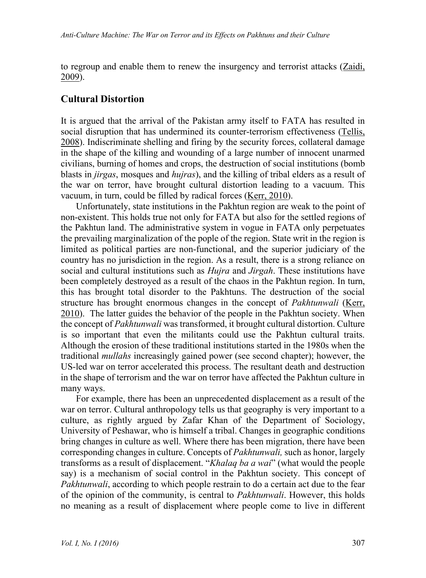to regroup and enable them to renew the insurgency and terrorist attacks (Zaidi, 2009).

### **Cultural Distortion**

It is argued that the arrival of the Pakistan army itself to FATA has resulted in social disruption that has undermined its counter-terrorism effectiveness (Tellis, 2008). Indiscriminate shelling and firing by the security forces, collateral damage in the shape of the killing and wounding of a large number of innocent unarmed civilians, burning of homes and crops, the destruction of social institutions (bomb blasts in *jirgas*, mosques and *hujras*), and the killing of tribal elders as a result of the war on terror, have brought cultural distortion leading to a vacuum. This vacuum, in turn, could be filled by radical forces (Kerr, 2010).

Unfortunately, state institutions in the Pakhtun region are weak to the point of non-existent. This holds true not only for FATA but also for the settled regions of the Pakhtun land. The administrative system in vogue in FATA only perpetuates the prevailing marginalization of the pople of the region. State writ in the region is limited as political parties are non-functional, and the superior judiciary of the country has no jurisdiction in the region. As a result, there is a strong reliance on social and cultural institutions such as *Hujra* and *Jirgah*. These institutions have been completely destroyed as a result of the chaos in the Pakhtun region. In turn, this has brought total disorder to the Pakhtuns. The destruction of the social structure has brought enormous changes in the concept of *Pakhtunwali* (Kerr, 2010). The latter guides the behavior of the people in the Pakhtun society. When the concept of *Pakhtunwali* was transformed, it brought cultural distortion. Culture is so important that even the militants could use the Pakhtun cultural traits. Although the erosion of these traditional institutions started in the 1980s when the traditional *mullahs* increasingly gained power (see second chapter); however, the US-led war on terror accelerated this process. The resultant death and destruction in the shape of terrorism and the war on terror have affected the Pakhtun culture in many ways.

For example, there has been an unprecedented displacement as a result of the war on terror. Cultural anthropology tells us that geography is very important to a culture, as rightly argued by Zafar Khan of the Department of Sociology, University of Peshawar, who is himself a tribal. Changes in geographic conditions bring changes in culture as well. Where there has been migration, there have been corresponding changes in culture. Concepts of *Pakhtunwali,* such as honor, largely transforms as a result of displacement. "*Khalaq ba a wai*" (what would the people say) is a mechanism of social control in the Pakhtun society. This concept of *Pakhtunwali*, according to which people restrain to do a certain act due to the fear of the opinion of the community, is central to *Pakhtunwali*. However, this holds no meaning as a result of displacement where people come to live in different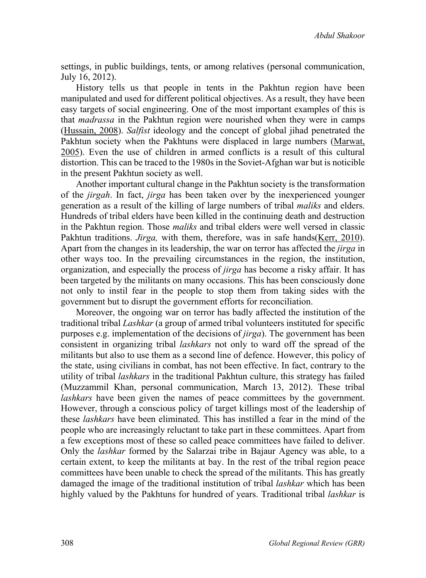settings, in public buildings, tents, or among relatives (personal communication, July 16, 2012).

History tells us that people in tents in the Pakhtun region have been manipulated and used for different political objectives. As a result, they have been easy targets of social engineering. One of the most important examples of this is that *madrassa* in the Pakhtun region were nourished when they were in camps (Hussain, 2008). *Salfist* ideology and the concept of global jihad penetrated the Pakhtun society when the Pakhtuns were displaced in large numbers (Marwat, 2005). Even the use of children in armed conflicts is a result of this cultural distortion. This can be traced to the 1980s in the Soviet-Afghan war but is noticible in the present Pakhtun society as well.

Another important cultural change in the Pakhtun society is the transformation of the *jirgah*. In fact, *jirga* has been taken over by the inexperienced younger generation as a result of the killing of large numbers of tribal *maliks* and elders. Hundreds of tribal elders have been killed in the continuing death and destruction in the Pakhtun region. Those *maliks* and tribal elders were well versed in classic Pakhtun traditions. *Jirga,* with them, therefore, was in safe hands(Kerr, 2010). Apart from the changes in its leadership, the war on terror has affected the *jirga* in other ways too. In the prevailing circumstances in the region, the institution, organization, and especially the process of *jirga* has become a risky affair. It has been targeted by the militants on many occasions. This has been consciously done not only to instil fear in the people to stop them from taking sides with the government but to disrupt the government efforts for reconciliation.

Moreover, the ongoing war on terror has badly affected the institution of the traditional tribal *Lashkar* (a group of armed tribal volunteers instituted for specific purposes e.g. implementation of the decisions of *jirga*). The government has been consistent in organizing tribal *lashkars* not only to ward off the spread of the militants but also to use them as a second line of defence. However, this policy of the state, using civilians in combat, has not been effective. In fact, contrary to the utility of tribal *lashkars* in the traditional Pakhtun culture, this strategy has failed (Muzzammil Khan, personal communication, March 13, 2012). These tribal *lashkars* have been given the names of peace committees by the government. However, through a conscious policy of target killings most of the leadership of these *lashkars* have been eliminated. This has instilled a fear in the mind of the people who are increasingly reluctant to take part in these committees. Apart from a few exceptions most of these so called peace committees have failed to deliver. Only the *lashkar* formed by the Salarzai tribe in Bajaur Agency was able, to a certain extent, to keep the militants at bay. In the rest of the tribal region peace committees have been unable to check the spread of the militants. This has greatly damaged the image of the traditional institution of tribal *lashkar* which has been highly valued by the Pakhtuns for hundred of years. Traditional tribal *lashkar* is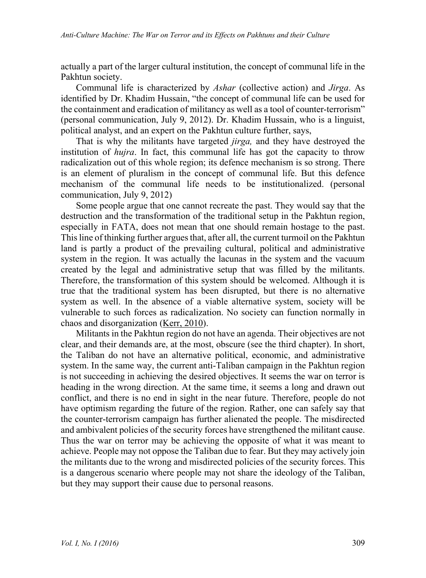actually a part of the larger cultural institution, the concept of communal life in the Pakhtun society.

Communal life is characterized by *Ashar* (collective action) and *Jirga*. As identified by Dr. Khadim Hussain, "the concept of communal life can be used for the containment and eradication of militancy as well as a tool of counter-terrorism" (personal communication, July 9, 2012). Dr. Khadim Hussain, who is a linguist, political analyst, and an expert on the Pakhtun culture further, says,

That is why the militants have targeted *jirga,* and they have destroyed the institution of *hujra*. In fact, this communal life has got the capacity to throw radicalization out of this whole region; its defence mechanism is so strong. There is an element of pluralism in the concept of communal life. But this defence mechanism of the communal life needs to be institutionalized. (personal communication, July 9, 2012)

Some people argue that one cannot recreate the past. They would say that the destruction and the transformation of the traditional setup in the Pakhtun region, especially in FATA, does not mean that one should remain hostage to the past. This line of thinking further argues that, after all, the current turmoil on the Pakhtun land is partly a product of the prevailing cultural, political and administrative system in the region. It was actually the lacunas in the system and the vacuum created by the legal and administrative setup that was filled by the militants. Therefore, the transformation of this system should be welcomed. Although it is true that the traditional system has been disrupted, but there is no alternative system as well. In the absence of a viable alternative system, society will be vulnerable to such forces as radicalization. No society can function normally in chaos and disorganization (Kerr, 2010).

Militants in the Pakhtun region do not have an agenda. Their objectives are not clear, and their demands are, at the most, obscure (see the third chapter). In short, the Taliban do not have an alternative political, economic, and administrative system. In the same way, the current anti-Taliban campaign in the Pakhtun region is not succeeding in achieving the desired objectives. It seems the war on terror is heading in the wrong direction. At the same time, it seems a long and drawn out conflict, and there is no end in sight in the near future. Therefore, people do not have optimism regarding the future of the region. Rather, one can safely say that the counter-terrorism campaign has further alienated the people. The misdirected and ambivalent policies of the security forces have strengthened the militant cause. Thus the war on terror may be achieving the opposite of what it was meant to achieve. People may not oppose the Taliban due to fear. But they may actively join the militants due to the wrong and misdirected policies of the security forces. This is a dangerous scenario where people may not share the ideology of the Taliban, but they may support their cause due to personal reasons.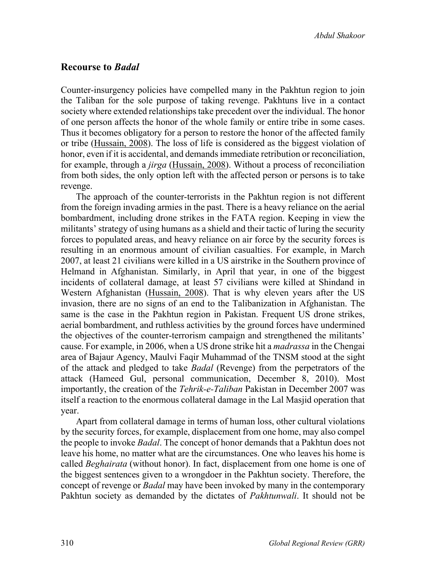*Abdul Shakoor*

#### **Recourse to** *Badal*

Counter-insurgency policies have compelled many in the Pakhtun region to join the Taliban for the sole purpose of taking revenge. Pakhtuns live in a contact society where extended relationships take precedent over the individual. The honor of one person affects the honor of the whole family or entire tribe in some cases. Thus it becomes obligatory for a person to restore the honor of the affected family or tribe (Hussain, 2008). The loss of life is considered as the biggest violation of honor, even if it is accidental, and demands immediate retribution or reconciliation, for example, through a *jirga* (Hussain, 2008). Without a process of reconciliation from both sides, the only option left with the affected person or persons is to take revenge.

The approach of the counter-terrorists in the Pakhtun region is not different from the foreign invading armies in the past. There is a heavy reliance on the aerial bombardment, including drone strikes in the FATA region. Keeping in view the militants' strategy of using humans as a shield and their tactic of luring the security forces to populated areas, and heavy reliance on air force by the security forces is resulting in an enormous amount of civilian casualties. For example, in March 2007, at least 21 civilians were killed in a US airstrike in the Southern province of Helmand in Afghanistan. Similarly, in April that year, in one of the biggest incidents of collateral damage, at least 57 civilians were killed at Shindand in Western Afghanistan (Hussain, 2008). That is why eleven years after the US invasion, there are no signs of an end to the Talibanization in Afghanistan. The same is the case in the Pakhtun region in Pakistan. Frequent US drone strikes, aerial bombardment, and ruthless activities by the ground forces have undermined the objectives of the counter-terrorism campaign and strengthened the militants' cause. For example, in 2006, when a US drone strike hit a *madrassa* in the Chengai area of Bajaur Agency, Maulvi Faqir Muhammad of the TNSM stood at the sight of the attack and pledged to take *Badal* (Revenge) from the perpetrators of the attack (Hameed Gul, personal communication, December 8, 2010). Most importantly, the creation of the *Tehrik-e-Taliban* Pakistan in December 2007 was itself a reaction to the enormous collateral damage in the Lal Masjid operation that year.

Apart from collateral damage in terms of human loss, other cultural violations by the security forces, for example, displacement from one home, may also compel the people to invoke *Badal*. The concept of honor demands that a Pakhtun does not leave his home, no matter what are the circumstances. One who leaves his home is called *Beghairata* (without honor). In fact, displacement from one home is one of the biggest sentences given to a wrongdoer in the Pakhtun society. Therefore, the concept of revenge or *Badal* may have been invoked by many in the contemporary Pakhtun society as demanded by the dictates of *Pakhtunwali*. It should not be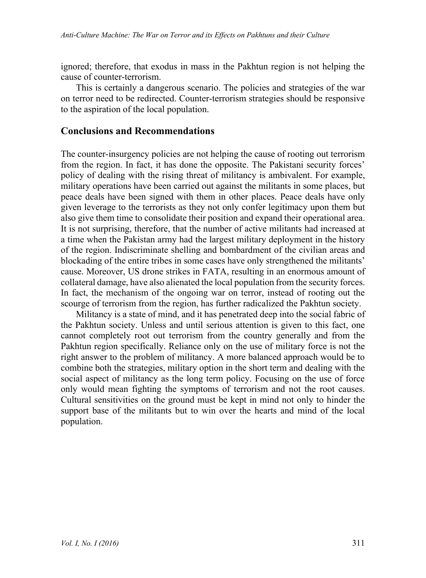ignored; therefore, that exodus in mass in the Pakhtun region is not helping the cause of counter-terrorism.

This is certainly a dangerous scenario. The policies and strategies of the war on terror need to be redirected. Counter-terrorism strategies should be responsive to the aspiration of the local population.

## **Conclusions and Recommendations**

The counter-insurgency policies are not helping the cause of rooting out terrorism from the region. In fact, it has done the opposite. The Pakistani security forces' policy of dealing with the rising threat of militancy is ambivalent. For example, military operations have been carried out against the militants in some places, but peace deals have been signed with them in other places. Peace deals have only given leverage to the terrorists as they not only confer legitimacy upon them but also give them time to consolidate their position and expand their operational area. It is not surprising, therefore, that the number of active militants had increased at a time when the Pakistan army had the largest military deployment in the history of the region. Indiscriminate shelling and bombardment of the civilian areas and blockading of the entire tribes in some cases have only strengthened the militants' cause. Moreover, US drone strikes in FATA, resulting in an enormous amount of collateral damage, have also alienated the local population from the security forces. In fact, the mechanism of the ongoing war on terror, instead of rooting out the scourge of terrorism from the region, has further radicalized the Pakhtun society.

Militancy is a state of mind, and it has penetrated deep into the social fabric of the Pakhtun society. Unless and until serious attention is given to this fact, one cannot completely root out terrorism from the country generally and from the Pakhtun region specifically. Reliance only on the use of military force is not the right answer to the problem of militancy. A more balanced approach would be to combine both the strategies, military option in the short term and dealing with the social aspect of militancy as the long term policy. Focusing on the use of force only would mean fighting the symptoms of terrorism and not the root causes. Cultural sensitivities on the ground must be kept in mind not only to hinder the support base of the militants but to win over the hearts and mind of the local population.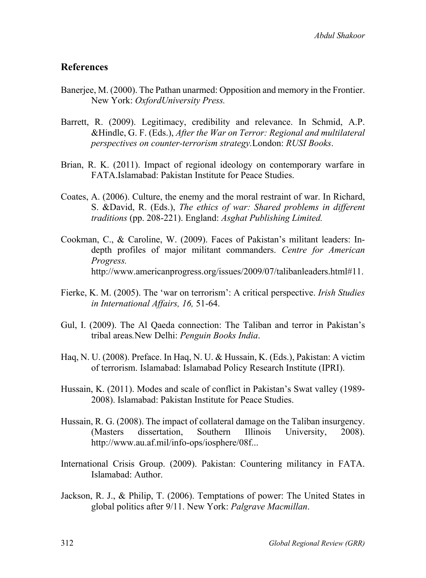## **References**

- Banerjee, M. (2000). The Pathan unarmed: Opposition and memory in the Frontier. New York: *OxfordUniversity Press.*
- Barrett, R. (2009). Legitimacy, credibility and relevance. In Schmid, A.P. &Hindle, G. F. (Eds.), *After the War on Terror: Regional and multilateral perspectives on counter-terrorism strategy.*London: *RUSI Books*.
- Brian, R. K. (2011). Impact of regional ideology on contemporary warfare in FATA.Islamabad: Pakistan Institute for Peace Studies.
- Coates, A. (2006). Culture, the enemy and the moral restraint of war. In Richard, S. &David, R. (Eds.), *The ethics of war: Shared problems in different traditions* (pp. 208-221). England: *Asghat Publishing Limited.*
- Cookman, C., & Caroline, W. (2009). Faces of Pakistan's militant leaders: Indepth profiles of major militant commanders. *Centre for American Progress.* http://www.americanprogress.org/issues/2009/07/talibanleaders.html#11.
- Fierke, K. M. (2005). The 'war on terrorism': A critical perspective. *Irish Studies in International Affairs, 16,* 51-64.
- Gul, I. (2009). The Al Qaeda connection: The Taliban and terror in Pakistan's tribal areas*.*New Delhi: *Penguin Books India*.
- Haq, N. U. (2008). Preface. In Haq, N. U. & Hussain, K. (Eds.), Pakistan: A victim of terrorism. Islamabad: Islamabad Policy Research Institute (IPRI).
- Hussain, K. (2011). Modes and scale of conflict in Pakistan's Swat valley (1989- 2008). Islamabad: Pakistan Institute for Peace Studies.
- Hussain, R. G. (2008). The impact of collateral damage on the Taliban insurgency. (Masters dissertation, Southern Illinois University, 2008). http://www.au.af.mil/info-ops/iosphere/08f...
- International Crisis Group. (2009). Pakistan: Countering militancy in FATA. Islamabad: Author.
- Jackson, R. J., & Philip, T. (2006). Temptations of power: The United States in global politics after 9/11. New York: *Palgrave Macmillan*.